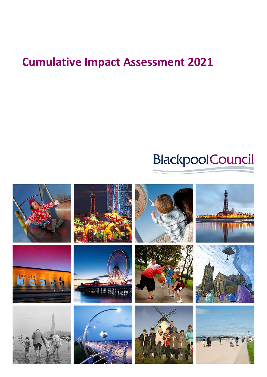## **Cumulative Impact Assessment 2021**

# **BlackpoolCouncil**

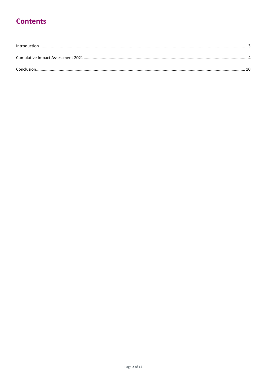### **Contents**

| Conclusion |  |
|------------|--|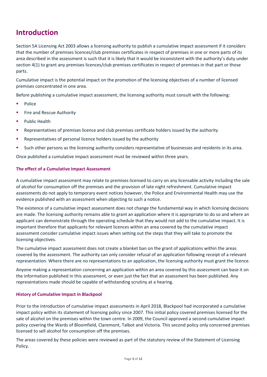### <span id="page-2-0"></span>**Introduction**

Section 5A Licensing Act 2003 allows a licensing authority to publish a cumulative impact assessment if it considers that the number of premises licences/club premises certificates in respect of premises in one or more parts of its area described in the assessment is such that it is likely that it would be inconsistent with the authority's duty under section 4(1) to grant any premises licences/club premises certificates in respect of premises in that part or those parts.

Cumulative impact is the potential impact on the promotion of the licensing objectives of a number of licensed premises concentrated in one area.

Before publishing a cumulative impact assessment, the licensing authority must consult with the following:

- Police
- Fire and Rescue Authority
- Public Health
- Representatives of premises licence and club premises certificate holders issued by the authority
- **Representatives of personal licence holders issued by the authority**
- Such other persons as the licensing authority considers representative of businesses and residents in its area.

Once published a cumulative impact assessment must be reviewed within three years.

#### **The effect of a Cumulative Impact Assessment**

A cumulative impact assessment may relate to premises licensed to carry on any licensable activity including the sale of alcohol for consumption off the premises and the provision of late night refreshment. Cumulative impact assessments do not apply to temporary event notices however, the Police and Environmental Health may use the evidence published with an assessment when objecting to such a notice.

The existence of a cumulative impact assessment does not change the fundamental way in which licensing decisions are made. The licensing authority remains able to grant an application where it is appropriate to do so and where an applicant can demonstrate through the operating schedule that they would not add to the cumulative impact. It is important therefore that applicants for relevant licences within an area covered by the cumulative impact assessment consider cumulative impact issues when setting out the steps that they will take to promote the licensing objectives.

The cumulative impact assessment does not create a blanket ban on the grant of applications within the areas covered by the assessment. The authority can only consider refusal of an application following receipt of a relevant representation. Where there are no representations to an application, the licensing authority must grant the licence.

Anyone making a representation concerning an application within an area covered by this assessment can base it on the information published in this assessment, or even just the fact that an assessment has been published. Any representations made should be capable of withstanding scrutiny at a hearing.

#### **History of Cumulative Impact in Blackpool**

Prior to the introduction of cumulative impact assessments in April 2018, Blackpool had incorporated a cumulative impact policy within its statement of licensing policy since 2007. This initial policy covered premises licensed for the sale of alcohol on the premises within the town centre. In 2009, the Council approved a second cumulative impact policy covering the Wards of Bloomfield, Claremont, Talbot and Victoria. This second policy only concerned premises licensed to sell alcohol for consumption off the premises.

The areas covered by these policies were reviewed as part of the statutory review of the Statement of Licensing Policy.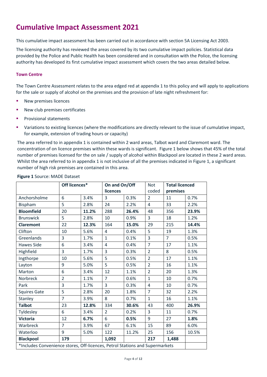### <span id="page-3-0"></span>**Cumulative Impact Assessment 2021**

This cumulative impact assessment has been carried out in accordance with section 5A Licensing Act 2003.

The licensing authority has reviewed the areas covered by its two cumulative impact policies. Statistical data provided by the Police and Public Health has been considered and in consultation with the Police, the licensing authority has developed its first cumulative impact assessment which covers the two areas detailed below.

#### **Town Centre**

The Town Centre Assessment relates to the area edged red at appendix 1 to this policy and will apply to applications for the sale or supply of alcohol on the premises and the provision of late night refreshment for:

- **New premises licences**
- New club premises certificates
- Provisional statements
- Variations to existing licences (where the modifications are directly relevant to the issue of cumulative impact, for example, extension of trading hours or capacity)

The area referred to in appendix 1 is contained within 2 ward areas, Talbot ward and Claremont ward. The concentration of on licence premises within these wards is significant. Figure 1 below shows that 45% of the total number of premises licensed for the on sale / supply of alcohol within Blackpool are located in these 2 ward areas. Whilst the area referred to in appendix 1 is not inclusive of all the premises indicated in Figure 1, a significant number of high risk premises are contained in this area.

|                                                                              | Off licences*  |       | On and On/Off<br>licences |       | <b>Not</b><br><b>Total licenced</b> |                |       |
|------------------------------------------------------------------------------|----------------|-------|---------------------------|-------|-------------------------------------|----------------|-------|
|                                                                              |                |       |                           |       | coded                               | premises       |       |
| Anchorsholme                                                                 | 6              | 3.4%  | $\overline{3}$            | 0.3%  | $\overline{2}$                      | 11             | 0.7%  |
| <b>Bispham</b>                                                               | 5              | 2.8%  | 24                        | 2.2%  | $\overline{4}$                      | 33             | 2.2%  |
| <b>Bloomfield</b>                                                            | 20             | 11.2% | 288                       | 26.4% | 48                                  | 356            | 23.9% |
| <b>Brunswick</b>                                                             | 5              | 2.8%  | 10                        | 0.9%  | 3                                   | 18             | 1.2%  |
| <b>Claremont</b>                                                             | 22             | 12.3% | 164                       | 15.0% | 29                                  | 215            | 14.4% |
| Clifton                                                                      | 10             | 5.6%  | $\overline{4}$            | 0.4%  | 5                                   | 19             | 1.3%  |
| Greenlands                                                                   | 3              | 1.7%  | $\mathbf{1}$              | 0.1%  | 3                                   | $\overline{7}$ | 0.5%  |
| <b>Hawes Side</b>                                                            | 6              | 3.4%  | $\overline{4}$            | 0.4%  | $\overline{7}$                      | 17             | 1.1%  |
| Highfield                                                                    | 3              | 1.7%  | $\overline{3}$            | 0.3%  | $\overline{2}$                      | 8              | 0.5%  |
| Ingthorpe                                                                    | 10             | 5.6%  | 5                         | 0.5%  | $\overline{2}$                      | 17             | 1.1%  |
| Layton                                                                       | 9              | 5.0%  | 5                         | 0.5%  | $\overline{2}$                      | 16             | 1.1%  |
| Marton                                                                       | 6              | 3.4%  | 12                        | 1.1%  | $\overline{2}$                      | 20             | 1.3%  |
| <b>Norbreck</b>                                                              | $\overline{2}$ | 1.1%  | $\overline{7}$            | 0.6%  | $\mathbf{1}$                        | 10             | 0.7%  |
| Park                                                                         | 3              | 1.7%  | $\overline{3}$            | 0.3%  | $\overline{4}$                      | 10             | 0.7%  |
| <b>Squires Gate</b>                                                          | 5              | 2.8%  | 20                        | 1.8%  | $\overline{7}$                      | 32             | 2.2%  |
| Stanley                                                                      | $\overline{7}$ | 3.9%  | 8                         | 0.7%  | $\mathbf{1}$                        | 16             | 1.1%  |
| <b>Talbot</b>                                                                | 23             | 12.8% | 334                       | 30.6% | 43                                  | 400            | 26.9% |
| Tyldesley                                                                    | 6              | 3.4%  | $\overline{2}$            | 0.2%  | 3                                   | 11             | 0.7%  |
| <b>Victoria</b>                                                              | 12             | 6.7%  | 6                         | 0.5%  | 9                                   | 27             | 1.8%  |
| Warbreck                                                                     | $\overline{7}$ | 3.9%  | 67                        | 6.1%  | 15                                  | 89             | 6.0%  |
| Waterloo                                                                     | 9              | 5.0%  | 122                       | 11.2% | 25                                  | 156            | 10.5% |
| <b>Blackpool</b>                                                             | 179            |       | 1,092                     |       | 217                                 | 1,488          |       |
| *Includes Convenience stores, Off-licences, Petrol Stations and Supermarkets |                |       |                           |       |                                     |                |       |

#### **Figure 1** Source: MADE Dataset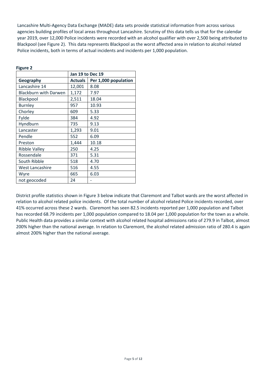Lancashire Multi-Agency Data Exchange (MADE) data sets provide statistical information from across various agencies building profiles of local areas throughout Lancashire. Scrutiny of this data tells us that for the calendar year 2019, over 12,000 Police incidents were recorded with an alcohol qualifier with over 2,500 being attributed to Blackpool (see Figure 2). This data represents Blackpool as the worst affected area in relation to alcohol related Police incidents, both in terms of actual incidents and incidents per 1,000 population.

|                       | Jan 19 to Dec 19 |                      |  |
|-----------------------|------------------|----------------------|--|
| Geography             | <b>Actuals</b>   | Per 1,000 population |  |
| Lancashire 14         | 12,001           | 8.08                 |  |
| Blackburn with Darwen | 1,172            | 7.97                 |  |
| Blackpool             | 2,511            | 18.04                |  |
| <b>Burnley</b>        | 957              | 10.93                |  |
| Chorley               | 609              | 5.33                 |  |
| Fylde                 | 384              | 4.92                 |  |
| Hyndburn              | 735              | 9.13                 |  |
| Lancaster             | 1,293            | 9.01                 |  |
| Pendle                | 552              | 6.09                 |  |
| Preston               | 1,444            | 10.18                |  |
| <b>Ribble Valley</b>  | 250              | 4.25                 |  |
| Rossendale            | 371              | 5.31                 |  |
| South Ribble          | 518              | 4.70                 |  |
| West Lancashire       | 516              | 4.55                 |  |
| Wyre                  | 665              | 6.03                 |  |
| not geocoded          | 24               |                      |  |

#### **Figure 2**

District profile statistics shown in Figure 3 below indicate that Claremont and Talbot wards are the worst affected in relation to alcohol related police incidents. Of the total number of alcohol related Police incidents recorded, over 41% occurred across these 2 wards. Claremont has seen 82.5 incidents reported per 1,000 population and Talbot has recorded 68.79 incidents per 1,000 population compared to 18.04 per 1,000 population for the town as a whole. Public Health data provides a similar context with alcohol related hospital admissions ratio of 279.9 in Talbot, almost 200% higher than the national average. In relation to Claremont, the alcohol related admission ratio of 280.4 is again almost 200% higher than the national average.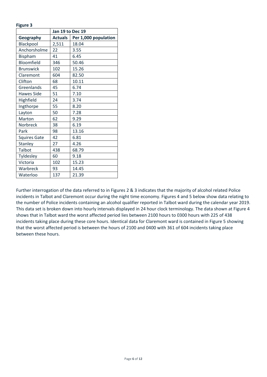#### **Figure 3**

|                     | Jan 19 to Dec 19 |                      |  |
|---------------------|------------------|----------------------|--|
| Geography           | <b>Actuals</b>   | Per 1,000 population |  |
| Blackpool           | 2,511            | 18.04                |  |
| Anchorsholme        | 22               | 3.55                 |  |
| Bispham             | 41               | 6.45                 |  |
| Bloomfield          | 346              | 50.46                |  |
| <b>Brunswick</b>    | 102              | 15.26                |  |
| Claremont           | 604              | 82.50                |  |
| Clifton             | 68               | 10.11                |  |
| Greenlands          | 45               | 6.74                 |  |
| <b>Hawes Side</b>   | 51               | 7.10                 |  |
| Highfield           | 24               | 3.74                 |  |
| Ingthorpe           | 55               | 8.20                 |  |
| Layton              | 50               | 7.28                 |  |
| Marton              | 62               | 9.29                 |  |
| Norbreck            | 38               | 6.19                 |  |
| Park                | 98               | 13.16                |  |
| <b>Squires Gate</b> | 42               | 6.81                 |  |
| Stanley             | 27               | 4.26                 |  |
| Talbot              | 438              | 68.79                |  |
| Tyldesley           | 60               | 9.18                 |  |
| Victoria            | 102              | 15.23                |  |
| Warbreck            | 93               | 14.45                |  |
| Waterloo            | 137              | 21.39                |  |

Further interrogation of the data referred to in Figures 2 & 3 indicates that the majority of alcohol related Police incidents in Talbot and Claremont occur during the night time economy. Figures 4 and 5 below show data relating to the number of Police incidents containing an alcohol qualifier reported in Talbot ward during the calendar year 2019. This data set is broken down into hourly intervals displayed in 24 hour clock terminology. The data shown at Figure 4 shows that in Talbot ward the worst affected period lies between 2100 hours to 0300 hours with 225 of 438 incidents taking place during these core hours. Identical data for Claremont ward is contained in Figure 5 showing that the worst affected period is between the hours of 2100 and 0400 with 361 of 604 incidents taking place between these hours.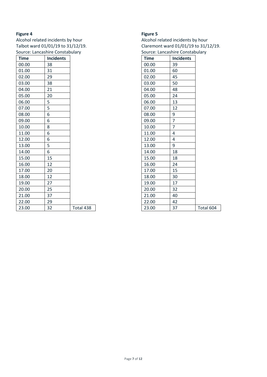#### **Figure 4**

Alcohol related incidents by hour Talbot ward 01/01/19 to 31/12/19. Source: Lancashire Constabulary

| <b>Time</b> | <b>Incidents</b> |           |
|-------------|------------------|-----------|
| 00.00       | 38               |           |
| 01.00       | 31               |           |
| 02.00       | 29               |           |
| 03.00       | 38               |           |
| 04.00       | 21               |           |
| 05.00       | 20               |           |
| 06.00       | 5                |           |
| 07.00       | 5                |           |
| 08.00       | 6                |           |
| 09.00       | 6                |           |
| 10.00       | 8                |           |
| 11.00       | 6                |           |
| 12.00       | 6                |           |
| 13.00       | 5                |           |
| 14.00       | 6                |           |
| 15.00       | 15               |           |
| 16.00       | 12               |           |
| 17.00       | 20               |           |
| 18.00       | 12               |           |
| 19.00       | 27               |           |
| 20.00       | 25               |           |
| 21.00       | 37               |           |
| 22.00       | 29               |           |
| 23.00       | 32               | Total 438 |

#### **Figure 5**

Alcohol related incidents by hour Claremont ward 01/01/19 to 31/12/19. Source: Lancashire Constabulary

| <b>Time</b> | <b>Incidents</b> |           |
|-------------|------------------|-----------|
| 00.00       | 39               |           |
| 01.00       | 60               |           |
| 02.00       | 45               |           |
| 03.00       | 50               |           |
| 04.00       | 48               |           |
| 05.00       | 24               |           |
| 06.00       | 13               |           |
| 07.00       | 12               |           |
| 08.00       | 9                |           |
| 09.00       | 7                |           |
| 10.00       | $\overline{7}$   |           |
| 11.00       | 4                |           |
| 12.00       | 4                |           |
| 13.00       | 9                |           |
| 14.00       | 18               |           |
| 15.00       | 18               |           |
| 16.00       | 24               |           |
| 17.00       | 15               |           |
| 18.00       | 30               |           |
| 19.00       | 17               |           |
| 20.00       | 32               |           |
| 21.00       | 40               |           |
| 22.00       | 42               |           |
| 23.00       | 37               | Total 604 |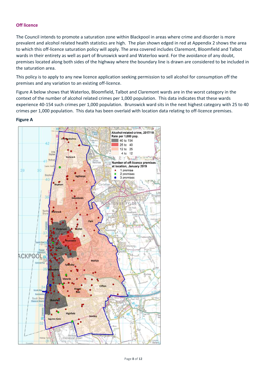#### **Off licence**

The Council intends to promote a saturation zone within Blackpool in areas where crime and disorder is more prevalent and alcohol related health statistics are high. The plan shown edged in red at Appendix 2 shows the area to which this off-licence saturation policy will apply. The area covered includes Claremont, Bloomfield and Talbot wards in their entirety as well as part of Brunswick ward and Waterloo ward. For the avoidance of any doubt, premises located along both sides of the highway where the boundary line is drawn are considered to be included in the saturation area.

This policy is to apply to any new licence application seeking permission to sell alcohol for consumption off the premises and any variation to an existing off-licence.

Figure A below shows that Waterloo, Bloomfield, Talbot and Claremont wards are in the worst category in the context of the number of alcohol related crimes per 1,000 population. This data indicates that these wards experience 40-154 such crimes per 1,000 population. Brunswick ward sits in the next highest category with 25 to 40 crimes per 1,000 population. This data has been overlaid with location data relating to off-licence premises.

#### **Figure A**

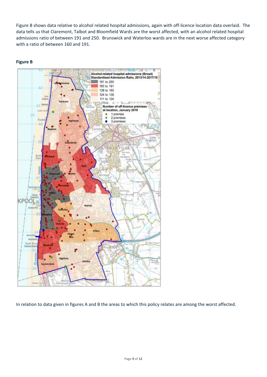Figure B shows data relative to alcohol related hospital admissions, again with off-licence location data overlaid. The data tells us that Claremont, Talbot and Bloomfield Wards are the worst affected, with an alcohol related hospital admissions ratio of between 191 and 250. Brunswick and Waterloo wards are in the next worse affected category with a ratio of between 160 and 191.





In relation to data given in figures A and B the areas to which this policy relates are among the worst affected.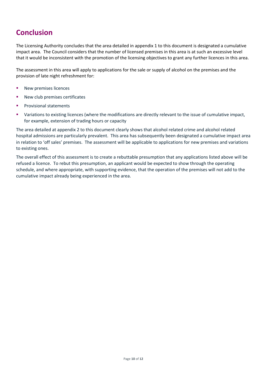### <span id="page-9-0"></span>**Conclusion**

The Licensing Authority concludes that the area detailed in appendix 1 to this document is designated a cumulative impact area. The Council considers that the number of licensed premises in this area is at such an excessive level that it would be inconsistent with the promotion of the licensing objectives to grant any further licences in this area.

The assessment in this area will apply to applications for the sale or supply of alcohol on the premises and the provision of late night refreshment for:

- New premises licences
- New club premises certificates
- Provisional statements
- Variations to existing licences (where the modifications are directly relevant to the issue of cumulative impact, for example, extension of trading hours or capacity

The area detailed at appendix 2 to this document clearly shows that alcohol related crime and alcohol related hospital admissions are particularly prevalent. This area has subsequently been designated a cumulative impact area in relation to 'off sales' premises. The assessment will be applicable to applications for new premises and variations to existing ones.

The overall effect of this assessment is to create a rebuttable presumption that any applications listed above will be refused a licence. To rebut this presumption, an applicant would be expected to show through the operating schedule, and where appropriate, with supporting evidence, that the operation of the premises will not add to the cumulative impact already being experienced in the area.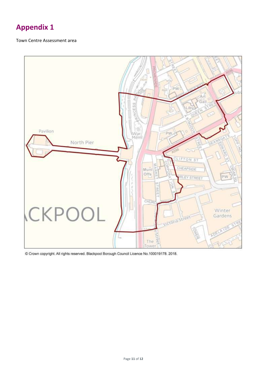### **Appendix 1**

#### Town Centre Assessment area



Crown copyright. All rights reserved. Blackpool Borough Council Licence No.100019178. 2018.